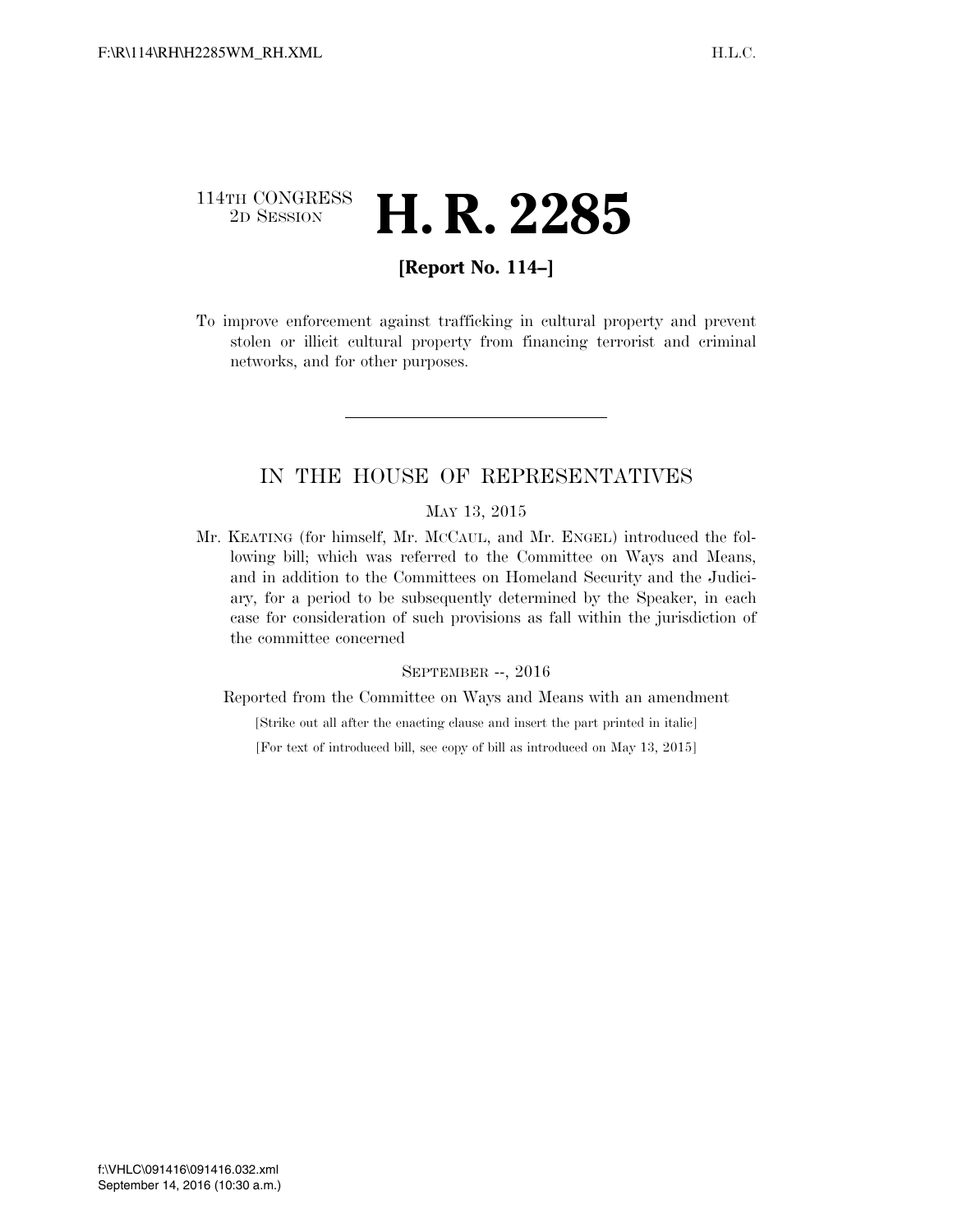## 114TH CONGRESS <sup>2D SESSION</sup> **H. R. 2285**

## **[Report No. 114–]**

To improve enforcement against trafficking in cultural property and prevent stolen or illicit cultural property from financing terrorist and criminal networks, and for other purposes.

## IN THE HOUSE OF REPRESENTATIVES

#### MAY 13, 2015

Mr. KEATING (for himself, Mr. MCCAUL, and Mr. ENGEL) introduced the following bill; which was referred to the Committee on Ways and Means, and in addition to the Committees on Homeland Security and the Judiciary, for a period to be subsequently determined by the Speaker, in each case for consideration of such provisions as fall within the jurisdiction of the committee concerned

#### SEPTEMBER --, 2016

Reported from the Committee on Ways and Means with an amendment

[Strike out all after the enacting clause and insert the part printed in italic]

[For text of introduced bill, see copy of bill as introduced on May 13, 2015]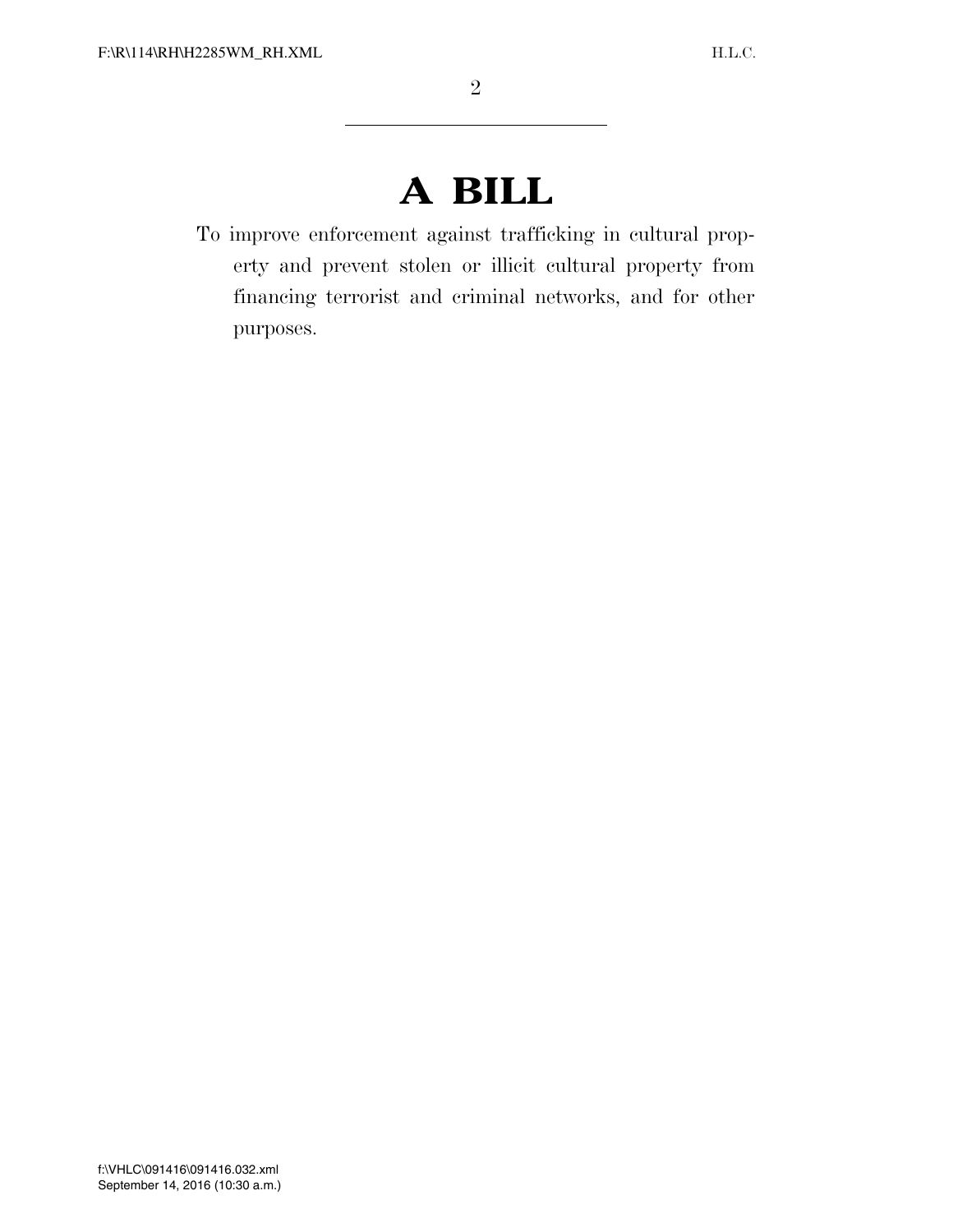# **A BILL**

To improve enforcement against trafficking in cultural property and prevent stolen or illicit cultural property from financing terrorist and criminal networks, and for other purposes.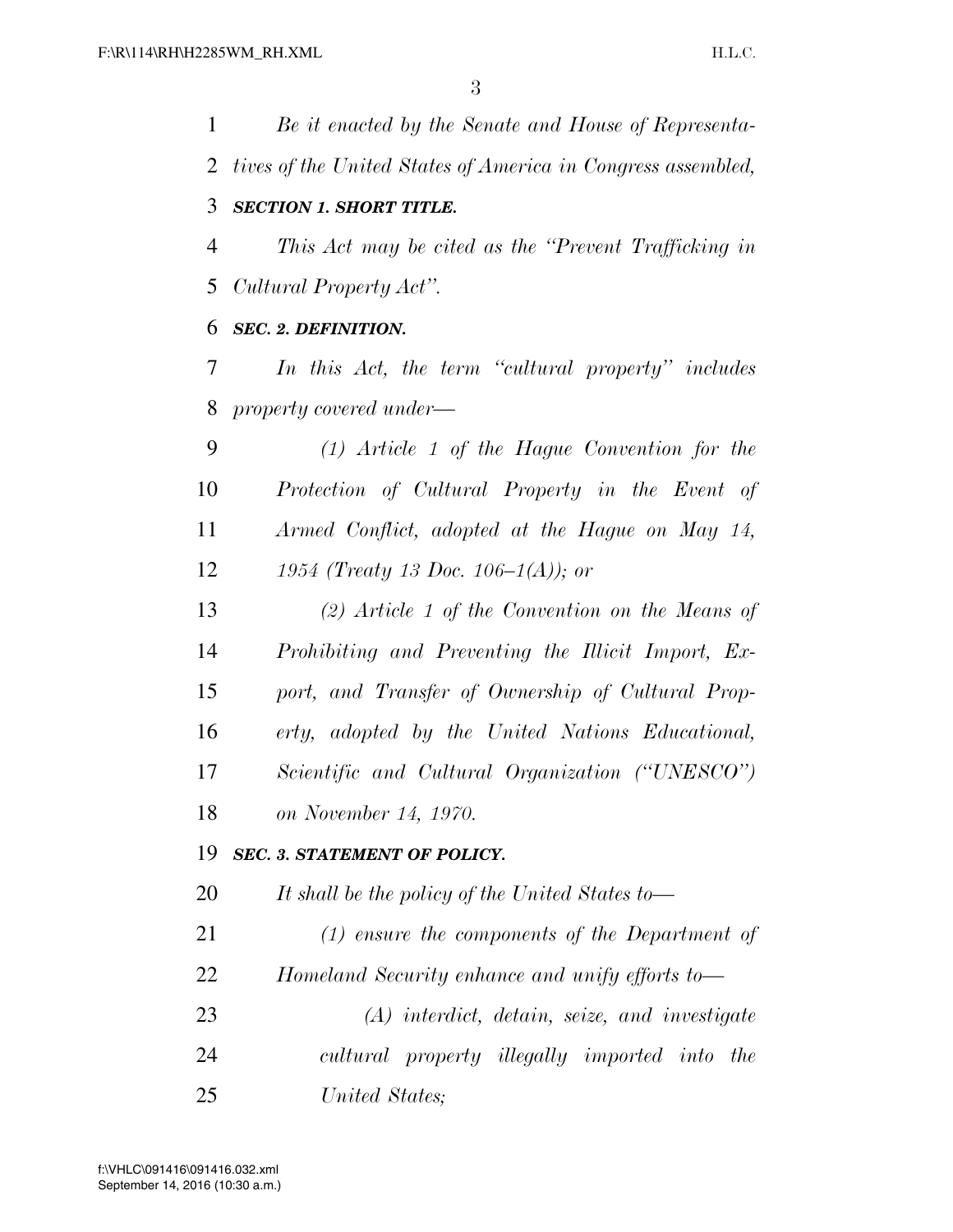*Be it enacted by the Senate and House of Representa- tives of the United States of America in Congress assembled, SECTION 1. SHORT TITLE. This Act may be cited as the ''Prevent Trafficking in Cultural Property Act''. SEC. 2. DEFINITION. In this Act, the term ''cultural property'' includes property covered under— (1) Article 1 of the Hague Convention for the Protection of Cultural Property in the Event of Armed Conflict, adopted at the Hague on May 14, 1954 (Treaty 13 Doc. 106–1(A)); or (2) Article 1 of the Convention on the Means of Prohibiting and Preventing the Illicit Import, Ex- port, and Transfer of Ownership of Cultural Prop- erty, adopted by the United Nations Educational, Scientific and Cultural Organization (''UNESCO'') on November 14, 1970. SEC. 3. STATEMENT OF POLICY. It shall be the policy of the United States to— (1) ensure the components of the Department of Homeland Security enhance and unify efforts to— (A) interdict, detain, seize, and investigate cultural property illegally imported into the* 

*United States;*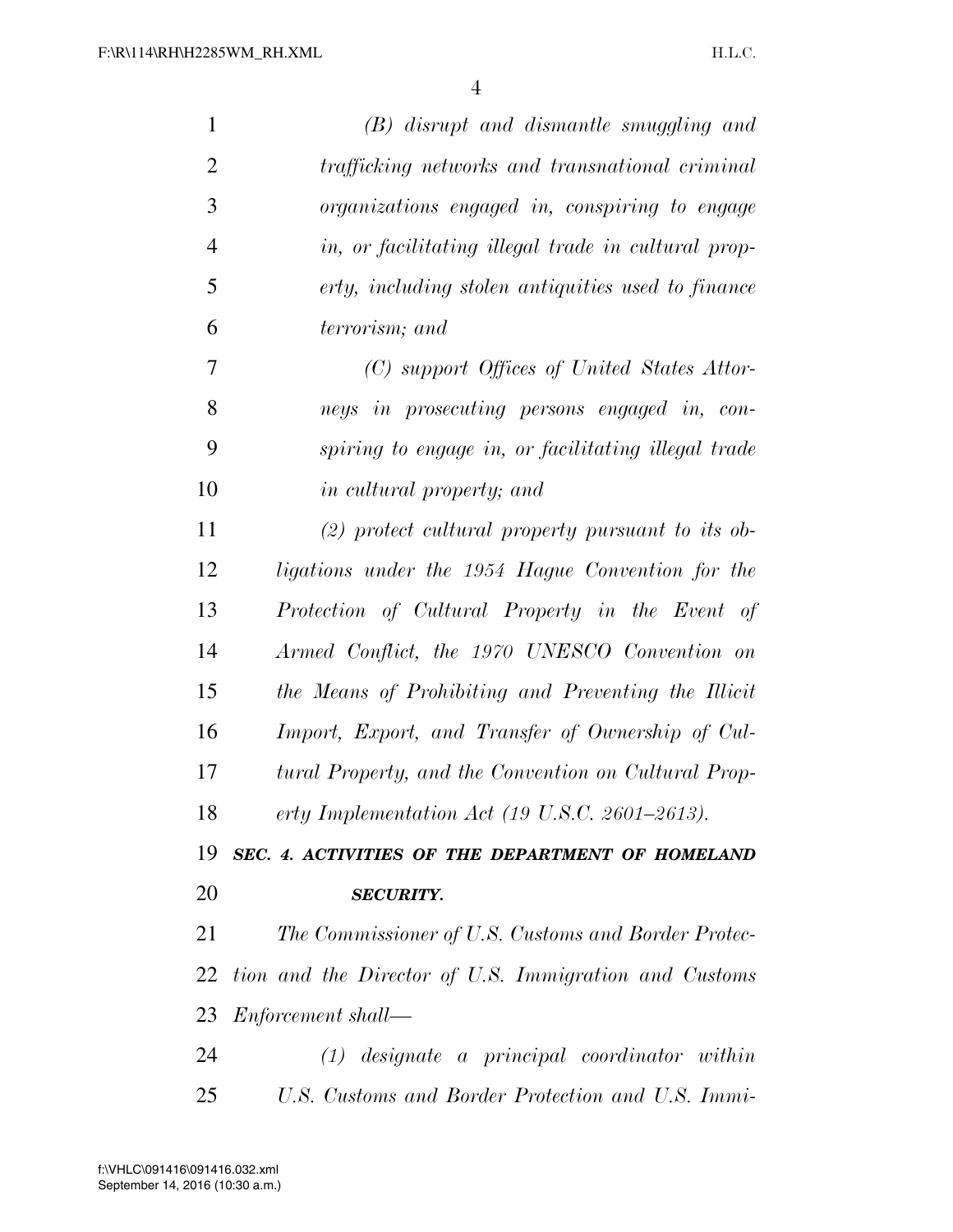| $\mathbf{1}$   | (B) disrupt and dismantle smuggling and                     |
|----------------|-------------------------------------------------------------|
| $\overline{2}$ | trafficking networks and transnational criminal             |
| 3              | organizations engaged in, conspiring to engage              |
| $\overline{4}$ | in, or facilitating illegal trade in cultural prop-         |
| 5              | erty, including stolen antiquities used to finance          |
| 6              | terrorism; and                                              |
| 7              | (C) support Offices of United States Attor-                 |
| 8              | neys in prosecuting persons engaged in, con-                |
| 9              | spiring to engage in, or facilitating illegal trade         |
| 10             | <i>in cultural property; and</i>                            |
| 11             | $(2)$ protect cultural property pursuant to its ob-         |
| 12             | ligations under the 1954 Hague Convention for the           |
| 13             | Protection of Cultural Property in the Event of             |
| 14             | Armed Conflict, the 1970 UNESCO Convention on               |
| 15             | the Means of Prohibiting and Preventing the Illicit         |
| 16             | Import, Export, and Transfer of Ownership of Cul-           |
| 17             | tural Property, and the Convention on Cultural Prop-        |
| 18             | erty Implementation Act $(19 \text{ U.S. C. } 2601-2613)$ . |
| 19             | SEC. 4. ACTIVITIES OF THE DEPARTMENT OF HOMELAND            |
| <b>20</b>      | <b>SECURITY.</b>                                            |
| 21             | The Commissioner of U.S. Customs and Border Protec-         |
| 22             | tion and the Director of U.S. Immigration and Customs       |
| 23             | Enforcement shall—                                          |
| 24             | $(1)$ designate a principal coordinator within              |
| 25             | U.S. Customs and Border Protection and U.S. Immi-           |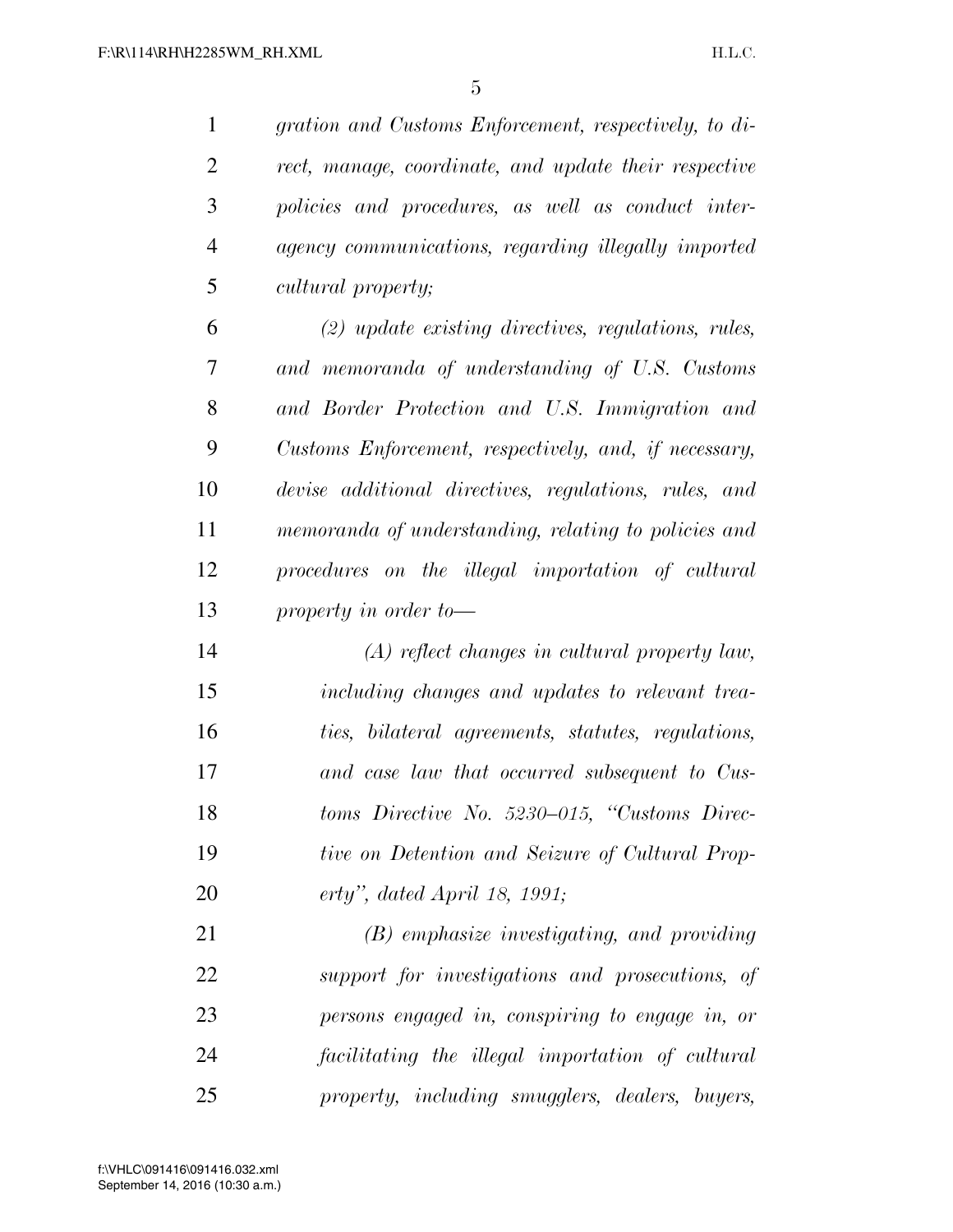*gration and Customs Enforcement, respectively, to di- rect, manage, coordinate, and update their respective policies and procedures, as well as conduct inter- agency communications, regarding illegally imported cultural property;* 

 *(2) update existing directives, regulations, rules, and memoranda of understanding of U.S. Customs and Border Protection and U.S. Immigration and Customs Enforcement, respectively, and, if necessary, devise additional directives, regulations, rules, and memoranda of understanding, relating to policies and procedures on the illegal importation of cultural property in order to—* 

 *(A) reflect changes in cultural property law, including changes and updates to relevant trea- ties, bilateral agreements, statutes, regulations, and case law that occurred subsequent to Cus- toms Directive No. 5230–015, ''Customs Direc- tive on Detention and Seizure of Cultural Prop-erty'', dated April 18, 1991;* 

 *(B) emphasize investigating, and providing support for investigations and prosecutions, of persons engaged in, conspiring to engage in, or facilitating the illegal importation of cultural property, including smugglers, dealers, buyers,*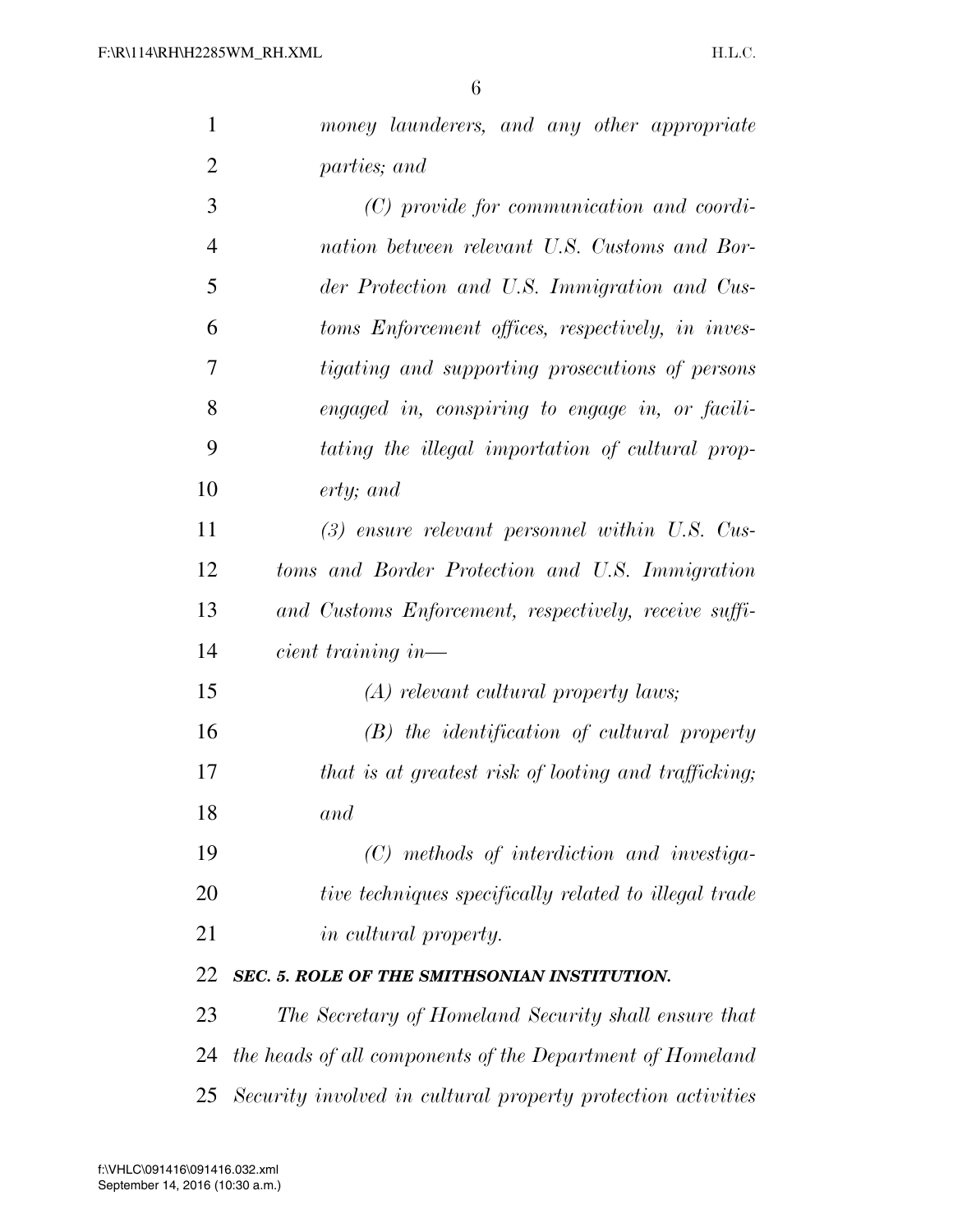| $\mathbf{1}$   | money launderers, and any other appropriate                  |
|----------------|--------------------------------------------------------------|
| $\overline{2}$ | parties; and                                                 |
| 3              | (C) provide for communication and coordi-                    |
| $\overline{4}$ | nation between relevant U.S. Customs and Bor-                |
| 5              | der Protection and U.S. Immigration and Cus-                 |
| 6              | toms Enforcement offices, respectively, in inves-            |
| 7              | <i>tigating and supporting prosecutions of persons</i>       |
| 8              | engaged in, conspiring to engage in, or facili-              |
| 9              | tating the illegal importation of cultural prop-             |
| 10             | $erty;$ and                                                  |
| 11             | $(3)$ ensure relevant personnel within U.S. Cus-             |
| 12             | toms and Border Protection and U.S. Immigration              |
| 13             | and Customs Enforcement, respectively, receive suffi-        |
| 14             | $cient$ training in-                                         |
| 15             | $(A)$ relevant cultural property laws;                       |
| 16             | $(B)$ the identification of cultural property                |
| 17             | that is at greatest risk of looting and trafficking;         |
| 18             | and                                                          |
| 19             | (C) methods of interdiction and investiga-                   |
| 20             | tive techniques specifically related to illegal trade        |
| 21             | <i>in cultural property.</i>                                 |
| 22             | SEC. 5. ROLE OF THE SMITHSONIAN INSTITUTION.                 |
| 23             | The Secretary of Homeland Security shall ensure that         |
| 24             | the heads of all components of the Department of Homeland    |
| 25             | Security involved in cultural property protection activities |